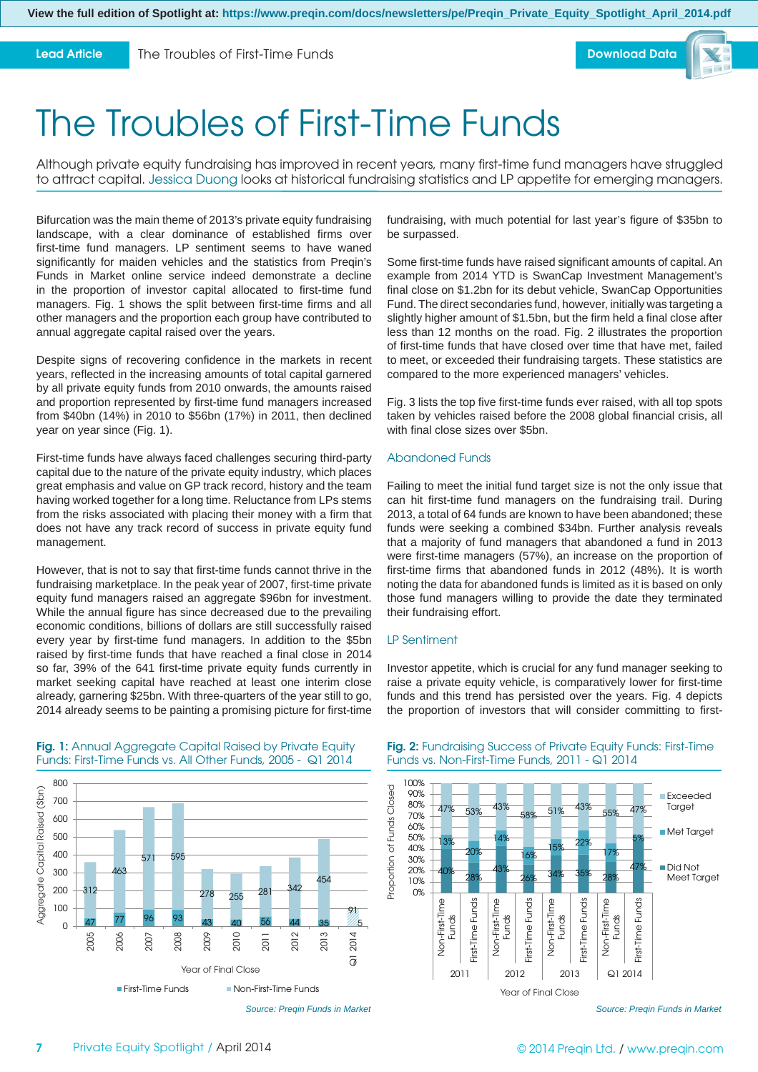**Lead Article**

The Troubles of First-Time Funds



# The Troubles of First-Time Funds

Although private equity fundraising has improved in recent years, many first-time fund managers have struggled to attract capital. Jessica Duong looks at historical fundraising statistics and LP appetite for emerging managers.

Bifurcation was the main theme of 2013's private equity fundraising landscape, with a clear dominance of established firms over first-time fund managers. LP sentiment seems to have waned significantly for maiden vehicles and the statistics from Preqin's Funds in Market online service indeed demonstrate a decline in the proportion of investor capital allocated to first-time fund managers. Fig. 1 shows the split between first-time firms and all other managers and the proportion each group have contributed to annual aggregate capital raised over the years.

Despite signs of recovering confidence in the markets in recent years, reflected in the increasing amounts of total capital garnered by all private equity funds from 2010 onwards, the amounts raised and proportion represented by first-time fund managers increased from \$40bn (14%) in 2010 to \$56bn (17%) in 2011, then declined year on year since (Fig. 1).

First-time funds have always faced challenges securing third-party capital due to the nature of the private equity industry, which places great emphasis and value on GP track record, history and the team having worked together for a long time. Reluctance from LPs stems from the risks associated with placing their money with a firm that does not have any track record of success in private equity fund management.

However, that is not to say that first-time funds cannot thrive in the fundraising marketplace. In the peak year of 2007, first-time private equity fund managers raised an aggregate \$96bn for investment. While the annual figure has since decreased due to the prevailing economic conditions, billions of dollars are still successfully raised every year by first-time fund managers. In addition to the \$5bn raised by first-time funds that have reached a final close in 2014 so far, 39% of the 641 first-time private equity funds currently in market seeking capital have reached at least one interim close already, garnering \$25bn. With three-quarters of the year still to go, 2014 already seems to be painting a promising picture for first-time



## Fig. 1: Annual Aggregate Capital Raised by Private Equity Funds: First-Time Funds vs. All Other Funds, 2005 - Q1 2014

*Source: Preqin Funds in Market*

fundraising, with much potential for last year's figure of \$35bn to be surpassed.

Some first-time funds have raised significant amounts of capital. An example from 2014 YTD is SwanCap Investment Management's final close on \$1.2bn for its debut vehicle, SwanCap Opportunities Fund. The direct secondaries fund, however, initially was targeting a slightly higher amount of \$1.5bn, but the firm held a final close after less than 12 months on the road. Fig. 2 illustrates the proportion of first-time funds that have closed over time that have met, failed to meet, or exceeded their fundraising targets. These statistics are compared to the more experienced managers' vehicles.

Fig. 3 lists the top five first-time funds ever raised, with all top spots taken by vehicles raised before the 2008 global financial crisis, all with final close sizes over \$5bn.

## Abandoned Funds

Failing to meet the initial fund target size is not the only issue that can hit first-time fund managers on the fundraising trail. During 2013, a total of 64 funds are known to have been abandoned; these funds were seeking a combined \$34bn. Further analysis reveals that a majority of fund managers that abandoned a fund in 2013 were first-time managers (57%), an increase on the proportion of first-time firms that abandoned funds in 2012 (48%). It is worth noting the data for abandoned funds is limited as it is based on only those fund managers willing to provide the date they terminated their fundraising effort.

# LP Sentiment

Investor appetite, which is crucial for any fund manager seeking to raise a private equity vehicle, is comparatively lower for first-time funds and this trend has persisted over the years. Fig. 4 depicts the proportion of investors that will consider committing to first-



## **Fig. 2:** Fundraising Success of Private Equity Funds: First-Time Funds vs. Non-First-Time Funds, 2011 - Q1 2014

*Source: Preqin Funds in Market*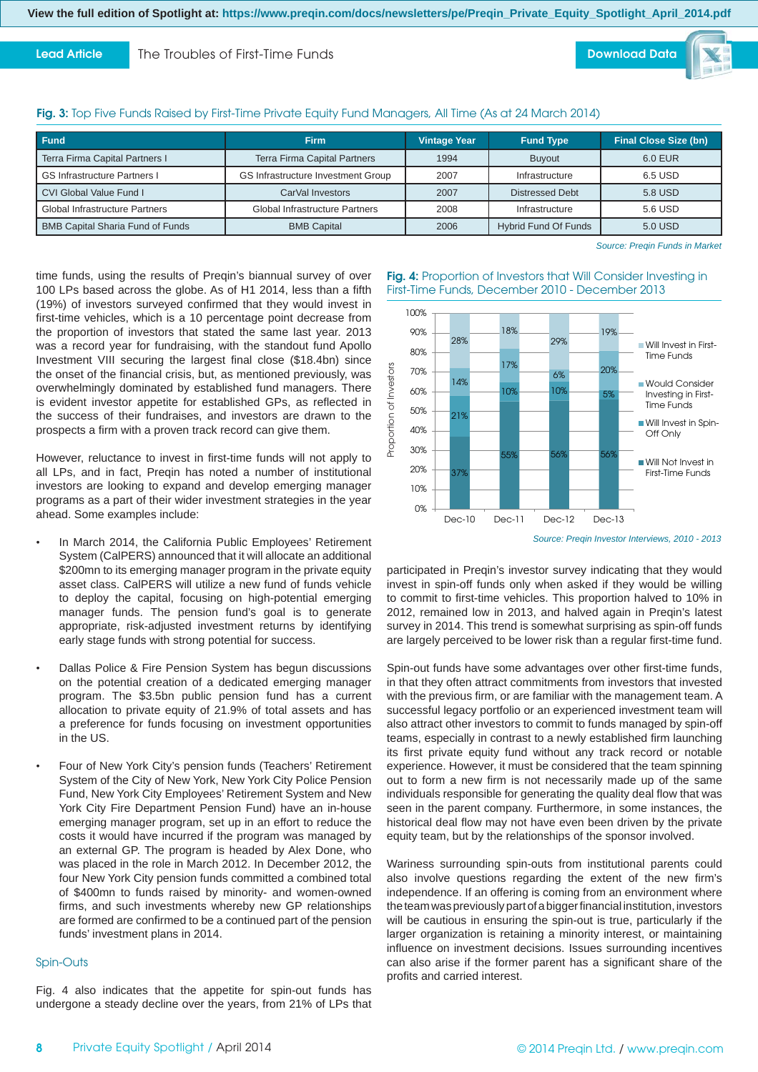**Lead Article**

The Troubles of First-Time Funds

**Download Data**

# **Fig. 3:** Top Five Funds Raised by First-Time Private Equity Fund Managers, All Time (As at 24 March 2014)

| <b>Fund</b>                             | <b>Firm</b>                           | <b>Vintage Year</b> | <b>Fund Type</b>            | <b>Final Close Size (bn)</b> |
|-----------------------------------------|---------------------------------------|---------------------|-----------------------------|------------------------------|
| Terra Firma Capital Partners I          | <b>Terra Firma Capital Partners</b>   | 1994                | <b>Buvout</b>               | 6.0 EUR                      |
| <b>GS Infrastructure Partners I</b>     | GS Infrastructure Investment Group    | 2007                | Infrastructure              | 6.5 USD                      |
| CVI Global Value Fund I                 | CarVal Investors                      | 2007                | Distressed Debt             | 5.8 USD                      |
| <b>Global Infrastructure Partners</b>   | <b>Global Infrastructure Partners</b> | 2008                | Infrastructure              | 5.6 USD                      |
| <b>BMB Capital Sharia Fund of Funds</b> | <b>BMB Capital</b>                    | 2006                | <b>Hybrid Fund Of Funds</b> | 5.0 USD                      |

*Source: Preqin Funds in Market*

time funds, using the results of Pregin's biannual survey of over 100 LPs based across the globe. As of H1 2014, less than a fifth (19%) of investors surveyed confirmed that they would invest in first-time vehicles, which is a 10 percentage point decrease from the proportion of investors that stated the same last year. 2013 was a record year for fundraising, with the standout fund Apollo Investment VIII securing the largest final close (\$18.4bn) since the onset of the financial crisis, but, as mentioned previously, was overwhelmingly dominated by established fund managers. There is evident investor appetite for established GPs, as reflected in the success of their fundraises, and investors are drawn to the prospects a firm with a proven track record can give them.

However, reluctance to invest in first-time funds will not apply to all LPs, and in fact, Preqin has noted a number of institutional investors are looking to expand and develop emerging manager programs as a part of their wider investment strategies in the year ahead. Some examples include:

- In March 2014, the California Public Employees' Retirement System (CalPERS) announced that it will allocate an additional \$200mn to its emerging manager program in the private equity asset class. CalPERS will utilize a new fund of funds vehicle to deploy the capital, focusing on high-potential emerging manager funds. The pension fund's goal is to generate appropriate, risk-adjusted investment returns by identifying early stage funds with strong potential for success.
- Dallas Police & Fire Pension System has begun discussions on the potential creation of a dedicated emerging manager program. The \$3.5bn public pension fund has a current allocation to private equity of 21.9% of total assets and has a preference for funds focusing on investment opportunities in the US.
- Four of New York City's pension funds (Teachers' Retirement System of the City of New York, New York City Police Pension Fund, New York City Employees' Retirement System and New York City Fire Department Pension Fund) have an in-house emerging manager program, set up in an effort to reduce the costs it would have incurred if the program was managed by an external GP. The program is headed by Alex Done, who was placed in the role in March 2012. In December 2012, the four New York City pension funds committed a combined total of \$400mn to funds raised by minority- and women-owned firms, and such investments whereby new GP relationships are formed are confirmed to be a continued part of the pension funds' investment plans in 2014.

#### Spin-Outs

Fig. 4 also indicates that the appetite for spin-out funds has undergone a steady decline over the years, from 21% of LPs that





participated in Preqin's investor survey indicating that they would invest in spin-off funds only when asked if they would be willing to commit to first-time vehicles. This proportion halved to 10% in 2012, remained low in 2013, and halved again in Preqin's latest survey in 2014. This trend is somewhat surprising as spin-off funds are largely perceived to be lower risk than a regular first-time fund.

Spin-out funds have some advantages over other first-time funds, in that they often attract commitments from investors that invested with the previous firm, or are familiar with the management team. A successful legacy portfolio or an experienced investment team will also attract other investors to commit to funds managed by spin-off teams, especially in contrast to a newly established firm launching its first private equity fund without any track record or notable experience. However, it must be considered that the team spinning out to form a new firm is not necessarily made up of the same individuals responsible for generating the quality deal flow that was seen in the parent company. Furthermore, in some instances, the historical deal flow may not have even been driven by the private equity team, but by the relationships of the sponsor involved.

Wariness surrounding spin-outs from institutional parents could also involve questions regarding the extent of the new firm's independence. If an offering is coming from an environment where the team was previously part of a bigger financial institution, investors will be cautious in ensuring the spin-out is true, particularly if the larger organization is retaining a minority interest, or maintaining influence on investment decisions. Issues surrounding incentives can also arise if the former parent has a significant share of the profits and carried interest.

*Source: Preqin Investor Interviews, 2010 - 2013*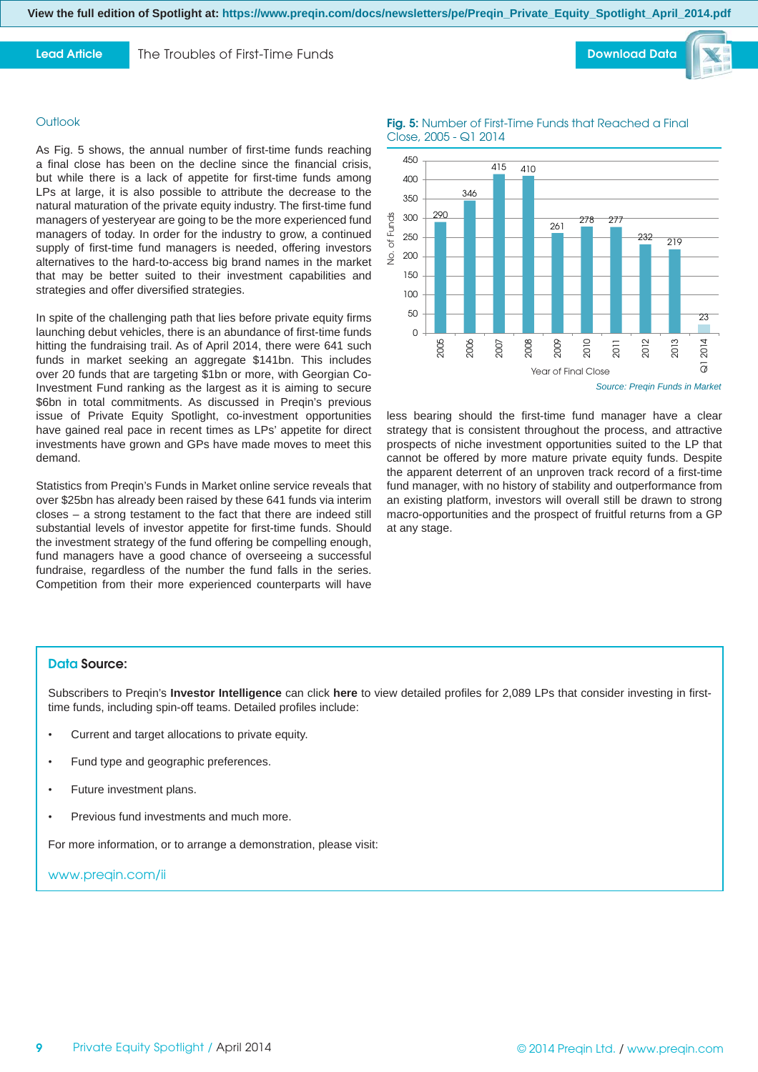**View the full edition of Spotlight at: https://www.preqin.com/docs/newsletters/pe/Preqin\_Private\_Equity\_Spotlight\_April\_2014.pdf** 

### **Lead Article**

**Outlook** 

demand.

The Troubles of First-Time Funds

As Fig. 5 shows, the annual number of first-time funds reaching a final close has been on the decline since the financial crisis, but while there is a lack of appetite for first-time funds among LPs at large, it is also possible to attribute the decrease to the natural maturation of the private equity industry. The first-time fund managers of yesteryear are going to be the more experienced fund managers of today. In order for the industry to grow, a continued supply of first-time fund managers is needed, offering investors alternatives to the hard-to-access big brand names in the market that may be better suited to their investment capabilities and

In spite of the challenging path that lies before private equity firms launching debut vehicles, there is an abundance of first-time funds hitting the fundraising trail. As of April 2014, there were 641 such funds in market seeking an aggregate \$141bn. This includes over 20 funds that are targeting \$1bn or more, with Georgian Co-Investment Fund ranking as the largest as it is aiming to secure \$6bn in total commitments. As discussed in Preqin's previous issue of Private Equity Spotlight, co-investment opportunities have gained real pace in recent times as LPs' appetite for direct investments have grown and GPs have made moves to meet this

strategies and offer diversified strategies.





## **Fig. 5:** Number of First-Time Funds that Reached a Final Close, 2005 - Q1 2014



*Source: Preqin Funds in Market*

less bearing should the first-time fund manager have a clear strategy that is consistent throughout the process, and attractive prospects of niche investment opportunities suited to the LP that cannot be offered by more mature private equity funds. Despite the apparent deterrent of an unproven track record of a first-time fund manager, with no history of stability and outperformance from an existing platform, investors will overall still be drawn to strong macro-opportunities and the prospect of fruitful returns from a GP at any stage.

Statistics from Pregin's Funds in Market online service reveals that over \$25bn has already been raised by these 641 funds via interim closes – a strong testament to the fact that there are indeed still substantial levels of investor appetite for first-time funds. Should the investment strategy of the fund offering be compelling enough, fund managers have a good chance of overseeing a successful fundraise, regardless of the number the fund falls in the series. Competition from their more experienced counterparts will have

#### **Data Source:**

Subscribers to Preqin's **Investor Intelligence** can click **[here](http://www.preqin.com/user/preparedQueries.aspx?QueryNumber=304&src=2)** to view detailed profiles for 2,089 LPs that consider investing in firsttime funds, including spin-off teams. Detailed profiles include:

- Current and target allocations to private equity.
- Fund type and geographic preferences.
- Future investment plans.
- Previous fund investments and much more.

For more information, or to arrange a demonstration, please visit:

www.preqin.com/ii